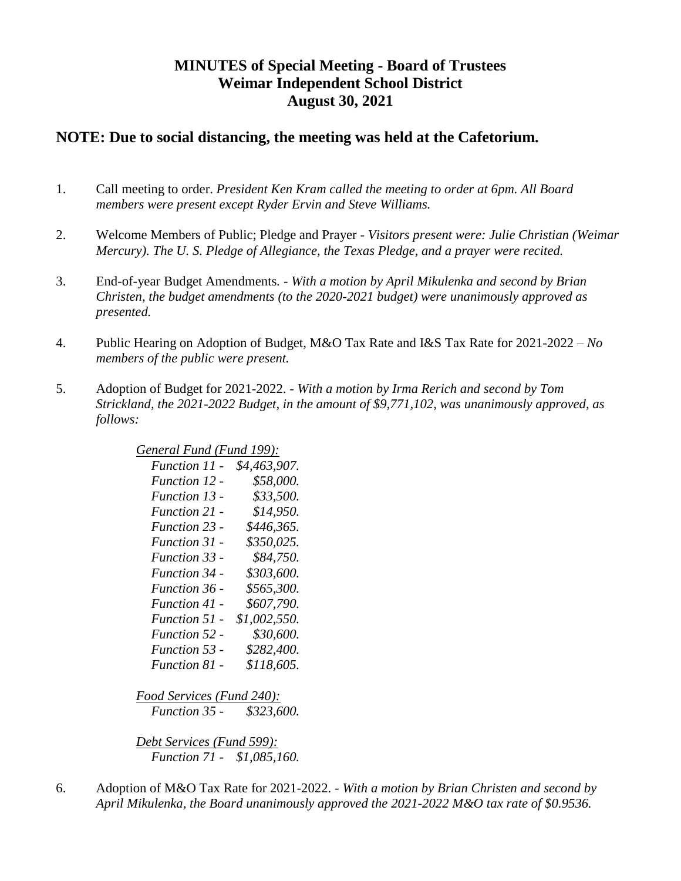# **MINUTES of Special Meeting - Board of Trustees Weimar Independent School District August 30, 2021**

### **NOTE: Due to social distancing, the meeting was held at the Cafetorium.**

- 1. Call meeting to order. *President Ken Kram called the meeting to order at 6pm. All Board members were present except Ryder Ervin and Steve Williams.*
- 2. Welcome Members of Public; Pledge and Prayer *Visitors present were: Julie Christian (Weimar Mercury). The U. S. Pledge of Allegiance, the Texas Pledge, and a prayer were recited.*
- 3. End-of-year Budget Amendments*. - With a motion by April Mikulenka and second by Brian Christen, the budget amendments (to the 2020-2021 budget) were unanimously approved as presented.*
- 4. Public Hearing on Adoption of Budget, M&O Tax Rate and I&S Tax Rate for 2021-2022 *No members of the public were present.*
- 5. Adoption of Budget for 2021-2022. *With a motion by Irma Rerich and second by Tom Strickland, the 2021-2022 Budget, in the amount of \$9,771,102, was unanimously approved, as follows:*

|  | General Fund (Fund 199): |  |
|--|--------------------------|--|
|  |                          |  |

| Function 11 -        | \$4,463,907. |
|----------------------|--------------|
| Function 12 -        | \$58,000.    |
| Function 13 -        | \$33,500.    |
| Function 21 -        | \$14,950.    |
| <b>Function 23 -</b> | \$446,365.   |
| Function 31 -        | \$350,025.   |
| <b>Function 33 -</b> | \$84,750.    |
| <b>Function 34 -</b> | \$303,600.   |
| <b>Function 36 -</b> | \$565,300.   |
| Function 41 -        | \$607,790.   |
| Function 51 -        | \$1,002,550. |
| Function 52 -        | \$30,600.    |
| Function 53 -        | \$282,400.   |
| Function 81 -        | \$118,605.   |
|                      |              |

*Food Services (Fund 240): Function 35 - \$323,600.*

*Debt Services (Fund 599): Function 71 - \$1,085,160.*

6. Adoption of M&O Tax Rate for 2021-2022. - *With a motion by Brian Christen and second by April Mikulenka, the Board unanimously approved the 2021-2022 M&O tax rate of \$0.9536.*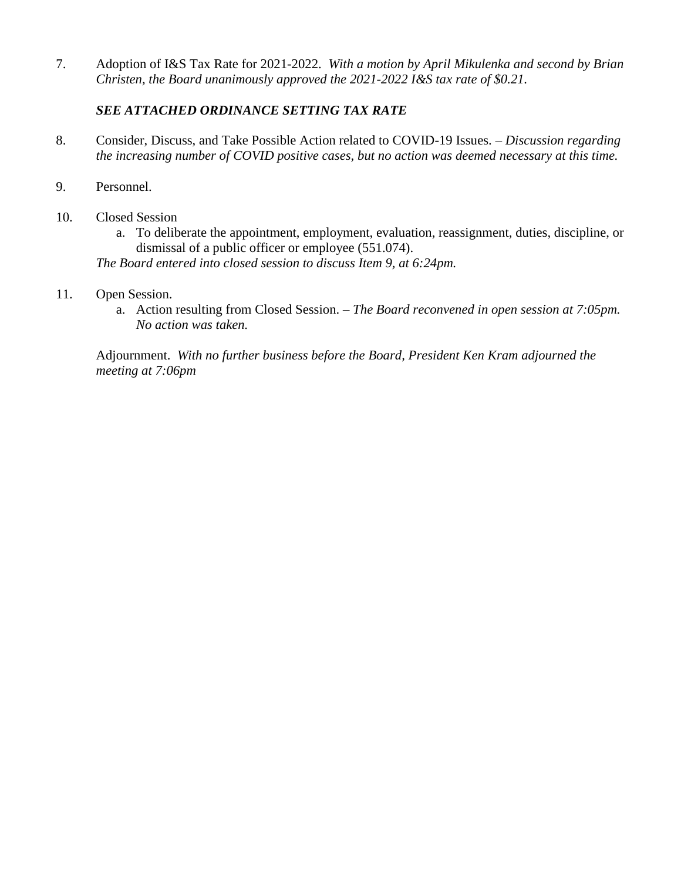7. Adoption of I&S Tax Rate for 2021-2022. *With a motion by April Mikulenka and second by Brian Christen, the Board unanimously approved the 2021-2022 I&S tax rate of \$0.21.*

### *SEE ATTACHED ORDINANCE SETTING TAX RATE*

- 8. Consider, Discuss, and Take Possible Action related to COVID-19 Issues. *– Discussion regarding the increasing number of COVID positive cases, but no action was deemed necessary at this time.*
- 9. Personnel.
- 10. Closed Session
	- a. To deliberate the appointment, employment, evaluation, reassignment, duties, discipline, or dismissal of a public officer or employee (551.074).

*The Board entered into closed session to discuss Item 9, at 6:24pm.*

- 11. Open Session.
	- a. Action resulting from Closed Session. *The Board reconvened in open session at 7:05pm. No action was taken.*

Adjournment. *With no further business before the Board, President Ken Kram adjourned the meeting at 7:06pm*